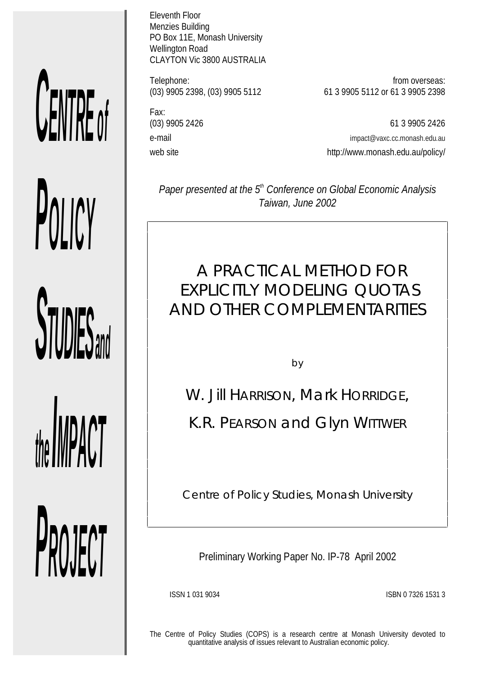# *CENTRE o f*

*POLICY*

*STUDIES* 

*the IMPACT*

*PROJECT*

Eleventh Floor Menzies Building PO Box 11E, Monash University Wellington Road CLAYTON Vic 3800 AUSTRALIA

Fax:

Telephone: from overseas:<br>(03) 9905 2398, (03) 9905 5112 61 3 9905 5112 or 61 3 9905 2398 (03) 9905 2398, (03) 9905 5112 61 3 9905 5112 or 61 3 9905 2398

(03) 9905 2426 61 3 9905 2426 e-mail impact@vaxc.cc.monash.edu.au web site web site http://www.monash.edu.au/policy/

Paper presented at the 5<sup>th</sup> Conference on Global Economic Analysis *Taiwan, June 2002*

# A PRACTICAL METHOD FOR EXPLICITLY MODELING QUOTAS AND OTHER COMPLEMENTARITIES

by

W. Jill HARRISON, Mark HORRIDGE,

K.R. PEARSON and Glyn WITTWER

*Centre of Policy Studies, Monash University*

Preliminary Working Paper No. IP-78 April 2002

ISSN 1 031 9034 ISBN 0 7326 1531 3

The Centre of Policy Studies (COPS) is a research centre at Monash University devoted to quantitative analysis of issues relevant to Australian economic policy.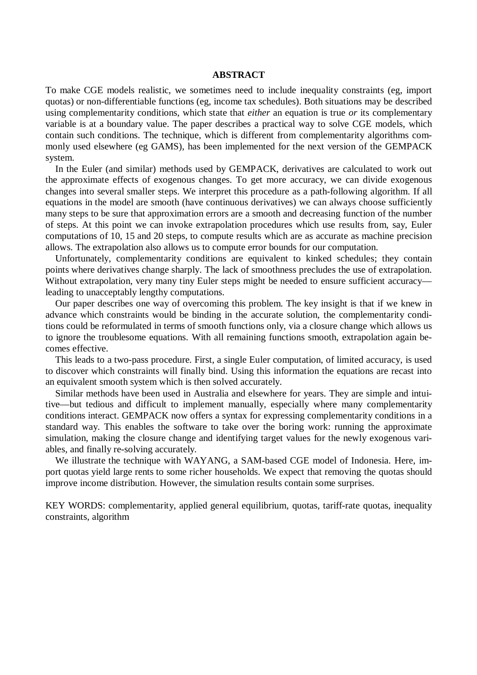# **ABSTRACT**

To make CGE models realistic, we sometimes need to include inequality constraints (eg, import quotas) or non-differentiable functions (eg, income tax schedules). Both situations may be described using complementarity conditions, which state that *either* an equation is true *or* its complementary variable is at a boundary value. The paper describes a practical way to solve CGE models, which contain such conditions. The technique, which is different from complementarity algorithms commonly used elsewhere (eg GAMS), has been implemented for the next version of the GEMPACK system.

 In the Euler (and similar) methods used by GEMPACK, derivatives are calculated to work out the approximate effects of exogenous changes. To get more accuracy, we can divide exogenous changes into several smaller steps. We interpret this procedure as a path-following algorithm. If all equations in the model are smooth (have continuous derivatives) we can always choose sufficiently many steps to be sure that approximation errors are a smooth and decreasing function of the number of steps. At this point we can invoke extrapolation procedures which use results from, say, Euler computations of 10, 15 and 20 steps, to compute results which are as accurate as machine precision allows. The extrapolation also allows us to compute error bounds for our computation.

 Unfortunately, complementarity conditions are equivalent to kinked schedules; they contain points where derivatives change sharply. The lack of smoothness precludes the use of extrapolation. Without extrapolation, very many tiny Euler steps might be needed to ensure sufficient accuracy leading to unacceptably lengthy computations.

 Our paper describes one way of overcoming this problem. The key insight is that if we knew in advance which constraints would be binding in the accurate solution, the complementarity conditions could be reformulated in terms of smooth functions only, via a closure change which allows us to ignore the troublesome equations. With all remaining functions smooth, extrapolation again becomes effective.

 This leads to a two-pass procedure. First, a single Euler computation, of limited accuracy, is used to discover which constraints will finally bind. Using this information the equations are recast into an equivalent smooth system which is then solved accurately.

 Similar methods have been used in Australia and elsewhere for years. They are simple and intuitive—but tedious and difficult to implement manually, especially where many complementarity conditions interact. GEMPACK now offers a syntax for expressing complementarity conditions in a standard way. This enables the software to take over the boring work: running the approximate simulation, making the closure change and identifying target values for the newly exogenous variables, and finally re-solving accurately.

 We illustrate the technique with WAYANG, a SAM-based CGE model of Indonesia. Here, import quotas yield large rents to some richer households. We expect that removing the quotas should improve income distribution. However, the simulation results contain some surprises.

KEY WORDS: complementarity, applied general equilibrium, quotas, tariff-rate quotas, inequality constraints, algorithm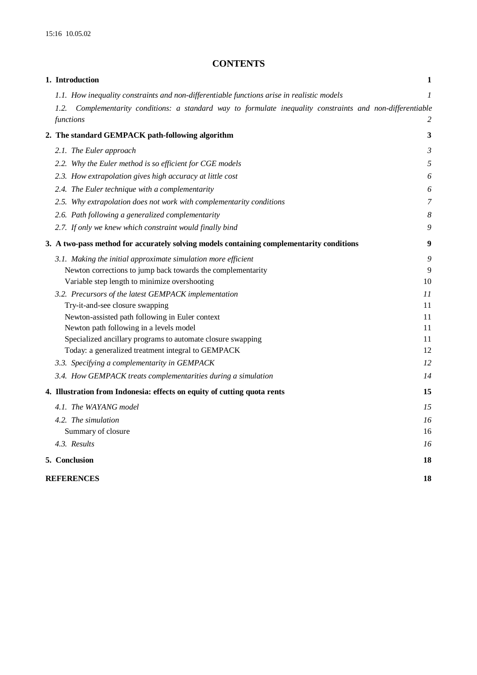# **CONTENTS**

| 1. Introduction                                                                                               | 1  |
|---------------------------------------------------------------------------------------------------------------|----|
| 1.1. How inequality constraints and non-differentiable functions arise in realistic models                    | 1  |
| Complementarity conditions: a standard way to formulate inequality constraints and non-differentiable<br>1.2. |    |
| functions                                                                                                     | 2  |
| 2. The standard GEMPACK path-following algorithm                                                              | 3  |
| 2.1. The Euler approach                                                                                       | 3  |
| 2.2. Why the Euler method is so efficient for CGE models                                                      | 5  |
| 2.3. How extrapolation gives high accuracy at little cost                                                     | 6  |
| 2.4. The Euler technique with a complementarity                                                               | 6  |
| 2.5. Why extrapolation does not work with complementarity conditions                                          | 7  |
| 2.6. Path following a generalized complementarity                                                             | 8  |
| 2.7. If only we knew which constraint would finally bind                                                      | 9  |
| 3. A two-pass method for accurately solving models containing complementarity conditions                      | 9  |
| 3.1. Making the initial approximate simulation more efficient                                                 | 9  |
| Newton corrections to jump back towards the complementarity                                                   | 9  |
| Variable step length to minimize overshooting                                                                 | 10 |
| 3.2. Precursors of the latest GEMPACK implementation                                                          | 11 |
| Try-it-and-see closure swapping                                                                               | 11 |
| Newton-assisted path following in Euler context                                                               | 11 |
| Newton path following in a levels model                                                                       | 11 |
| Specialized ancillary programs to automate closure swapping                                                   | 11 |
| Today: a generalized treatment integral to GEMPACK                                                            | 12 |
| 3.3. Specifying a complementarity in GEMPACK                                                                  | 12 |
| 3.4. How GEMPACK treats complementarities during a simulation                                                 | 14 |
| 4. Illustration from Indonesia: effects on equity of cutting quota rents                                      | 15 |
| 4.1. The WAYANG model                                                                                         | 15 |
| 4.2. The simulation                                                                                           | 16 |
| Summary of closure                                                                                            | 16 |
| 4.3. Results                                                                                                  | 16 |
| 5. Conclusion                                                                                                 | 18 |
| <b>REFERENCES</b>                                                                                             | 18 |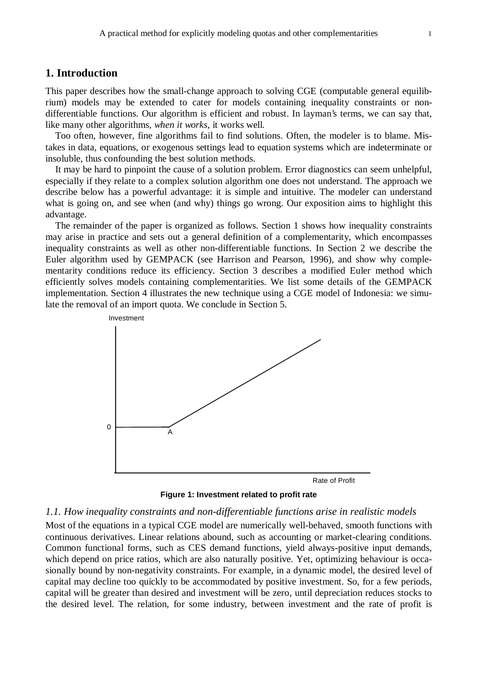# **1. Introduction**

This paper describes how the small-change approach to solving CGE (computable general equilibrium) models may be extended to cater for models containing inequality constraints or nondifferentiable functions. Our algorithm is efficient and robust. In layman's terms, we can say that, like many other algorithms, *when it works*, it works well.

 Too often, however, fine algorithms fail to find solutions. Often, the modeler is to blame. Mistakes in data, equations, or exogenous settings lead to equation systems which are indeterminate or insoluble, thus confounding the best solution methods.

 It may be hard to pinpoint the cause of a solution problem. Error diagnostics can seem unhelpful, especially if they relate to a complex solution algorithm one does not understand. The approach we describe below has a powerful advantage: it is simple and intuitive. The modeler can understand what is going on, and see when (and why) things go wrong. Our exposition aims to highlight this advantage.

 The remainder of the paper is organized as follows. Section 1 shows how inequality constraints may arise in practice and sets out a general definition of a complementarity, which encompasses inequality constraints as well as other non-differentiable functions. In Section 2 we describe the Euler algorithm used by GEMPACK (see Harrison and Pearson, 1996), and show why complementarity conditions reduce its efficiency. Section 3 describes a modified Euler method which efficiently solves models containing complementarities. We list some details of the GEMPACK implementation. Section 4 illustrates the new technique using a CGE model of Indonesia: we simulate the removal of an import quota. We conclude in Section 5.



**Figure 1: Investment related to profit rate**

#### *1.1. How inequality constraints and non-differentiable functions arise in realistic models*

Most of the equations in a typical CGE model are numerically well-behaved, smooth functions with continuous derivatives. Linear relations abound, such as accounting or market-clearing conditions. Common functional forms, such as CES demand functions, yield always-positive input demands, which depend on price ratios, which are also naturally positive. Yet, optimizing behaviour is occasionally bound by non-negativity constraints. For example, in a dynamic model, the desired level of capital may decline too quickly to be accommodated by positive investment. So, for a few periods, capital will be greater than desired and investment will be zero, until depreciation reduces stocks to the desired level. The relation, for some industry, between investment and the rate of profit is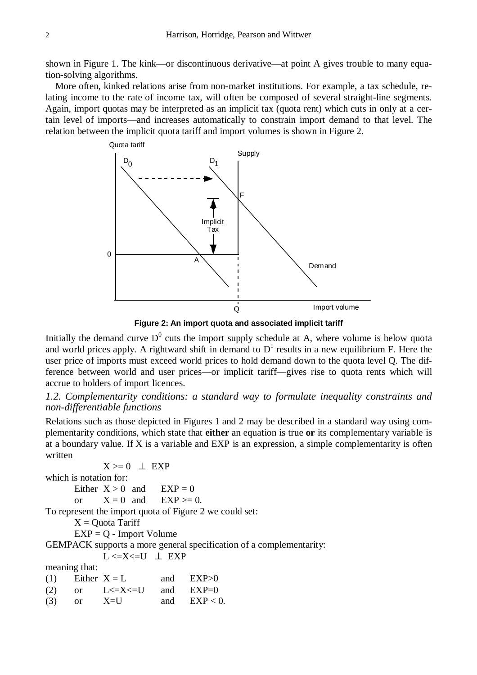shown in Figure 1. The kink—or discontinuous derivative—at point A gives trouble to many equation-solving algorithms.

 More often, kinked relations arise from non-market institutions. For example, a tax schedule, relating income to the rate of income tax, will often be composed of several straight-line segments. Again, import quotas may be interpreted as an implicit tax (quota rent) which cuts in only at a certain level of imports—and increases automatically to constrain import demand to that level. The relation between the implicit quota tariff and import volumes is shown in Figure 2.



**Figure 2: An import quota and associated implicit tariff**

Initially the demand curve  $D^0$  cuts the import supply schedule at A, where volume is below quota and world prices apply. A rightward shift in demand to  $D<sup>1</sup>$  results in a new equilibrium F. Here the user price of imports must exceed world prices to hold demand down to the quota level Q. The difference between world and user prices—or implicit tariff—gives rise to quota rents which will accrue to holders of import licences.

# *1.2. Complementarity conditions: a standard way to formulate inequality constraints and non-differentiable functions*

Relations such as those depicted in Figures 1 and 2 may be described in a standard way using complementarity conditions, which state that **either** an equation is true **or** its complementary variable is at a boundary value. If X is a variable and EXP is an expression, a simple complementarity is often written

 $X \geq 0$  | EXP

which is notation for:

Either  $X > 0$  and  $EXP = 0$ or  $X = 0$  and  $EXP \ge 0$ .

To represent the import quota of Figure 2 we could set:

 $X =$ Quota Tariff

EXP = Q - Import Volume

GEMPACK supports a more general specification of a complementarity:

 $L \le X \le U \perp EXP$ 

meaning that:

(1) Either  $X = L$  and  $EXP>0$ (2) or  $L \le X \le U$  and  $EXP=0$ (3) or  $X=U$  and  $EXP < 0$ .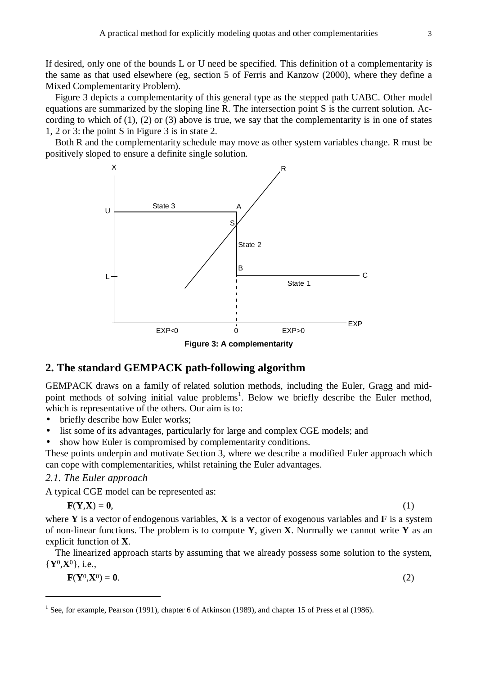If desired, only one of the bounds L or U need be specified. This definition of a complementarity is the same as that used elsewhere (eg, section 5 of Ferris and Kanzow (2000), where they define a Mixed Complementarity Problem).

 Figure 3 depicts a complementarity of this general type as the stepped path UABC. Other model equations are summarized by the sloping line R. The intersection point S is the current solution. According to which of  $(1)$ ,  $(2)$  or  $(3)$  above is true, we say that the complementarity is in one of states 1, 2 or 3: the point S in Figure 3 is in state 2.

 Both R and the complementarity schedule may move as other system variables change. R must be positively sloped to ensure a definite single solution.





# **2. The standard GEMPACK path-following algorithm**

GEMPACK draws on a family of related solution methods, including the Euler, Gragg and midpoint methods of solving initial value problems<sup>1</sup>. Below we briefly describe the Euler method, which is representative of the others. Our aim is to:

- briefly describe how Euler works:
- list some of its advantages, particularly for large and complex CGE models; and
- show how Euler is compromised by complementarity conditions.

These points underpin and motivate Section 3, where we describe a modified Euler approach which can cope with complementarities, whilst retaining the Euler advantages.

# *2.1. The Euler approach*

A typical CGE model can be represented as:

$$
\mathbf{F}(\mathbf{Y}, \mathbf{X}) = \mathbf{0},\tag{1}
$$

where **Y** is a vector of endogenous variables, **X** is a vector of exogenous variables and **F** is a system of non-linear functions. The problem is to compute **Y**, given **X**. Normally we cannot write **Y** as an explicit function of **X**.

 The linearized approach starts by assuming that we already possess some solution to the system, {**Y**0,**X**0}, i.e.,

**. (2)** 

<sup>&</sup>lt;sup>1</sup> See, for example, Pearson (1991), chapter 6 of Atkinson (1989), and chapter 15 of Press et al (1986).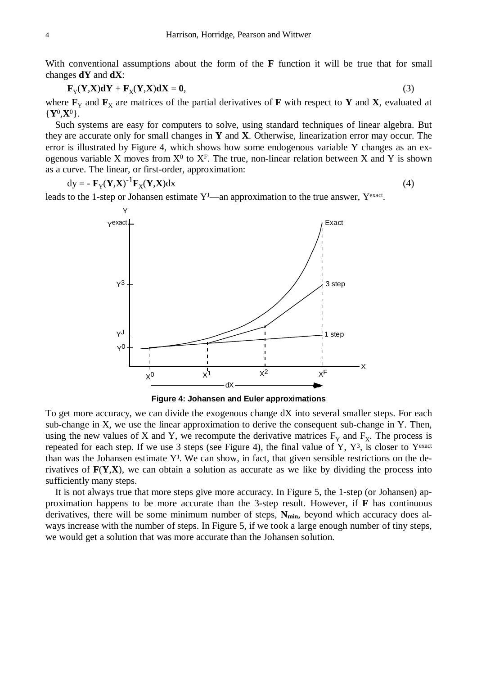With conventional assumptions about the form of the **F** function it will be true that for small changes **dY** and **dX**:

$$
\mathbf{F}_{\mathbf{Y}}(\mathbf{Y}, \mathbf{X})\mathbf{d}\mathbf{Y} + \mathbf{F}_{\mathbf{X}}(\mathbf{Y}, \mathbf{X})\mathbf{d}\mathbf{X} = \mathbf{0},\tag{3}
$$

where  $\mathbf{F}_Y$  and  $\mathbf{F}_X$  are matrices of the partial derivatives of **F** with respect to **Y** and **X**, evaluated at {**Y**0,**X**0}.

 Such systems are easy for computers to solve, using standard techniques of linear algebra. But they are accurate only for small changes in **Y** and **X**. Otherwise, linearization error may occur. The error is illustrated by Figure 4, which shows how some endogenous variable Y changes as an exogenous variable X moves from  $X^0$  to  $X^F$ . The true, non-linear relation between X and Y is shown as a curve. The linear, or first-order, approximation:

$$
dy = -\mathbf{F}_{Y}(\mathbf{Y}, \mathbf{X})^{-1}\mathbf{F}_{X}(\mathbf{Y}, \mathbf{X})dx
$$
 (4)

leads to the 1-step or Johansen estimate  $Y<sup>J</sup>$ —an approximation to the true answer,  $Y<sup>exact</sup>$ .



**Figure 4: Johansen and Euler approximations**

To get more accuracy, we can divide the exogenous change dX into several smaller steps. For each sub-change in X, we use the linear approximation to derive the consequent sub-change in Y. Then, using the new values of X and Y, we recompute the derivative matrices  $F_Y$  and  $F_X$ . The process is repeated for each step. If we use 3 steps (see Figure 4), the final value of Y,  $Y^3$ , is closer to Yexact than was the Johansen estimate  $Y<sup>J</sup>$ . We can show, in fact, that given sensible restrictions on the derivatives of **F**(**Y**,**X**), we can obtain a solution as accurate as we like by dividing the process into sufficiently many steps.

 It is not always true that more steps give more accuracy. In Figure 5, the 1-step (or Johansen) approximation happens to be more accurate than the 3-step result. However, if **F** has continuous derivatives, there will be some minimum number of steps,  $N_{min}$ , beyond which accuracy does always increase with the number of steps. In Figure 5, if we took a large enough number of tiny steps, we would get a solution that was more accurate than the Johansen solution.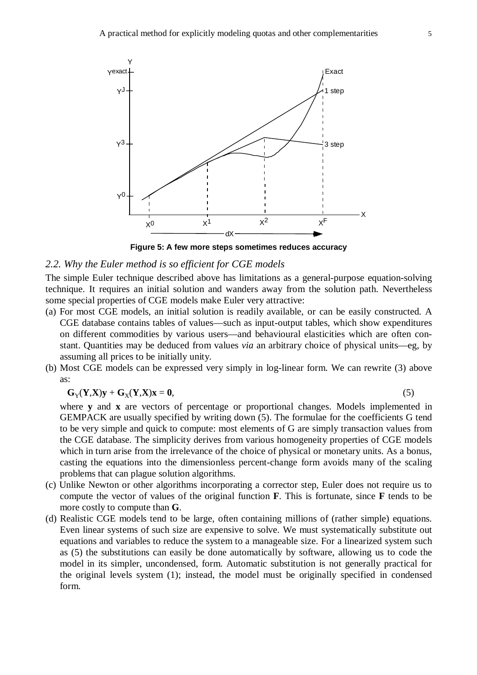![](_page_7_Figure_1.jpeg)

**Figure 5: A few more steps sometimes reduces accuracy**

#### *2.2. Why the Euler method is so efficient for CGE models*

The simple Euler technique described above has limitations as a general-purpose equation-solving technique. It requires an initial solution and wanders away from the solution path. Nevertheless some special properties of CGE models make Euler very attractive:

- (a) For most CGE models, an initial solution is readily available, or can be easily constructed. A CGE database contains tables of values—such as input-output tables, which show expenditures on different commodities by various users—and behavioural elasticities which are often constant. Quantities may be deduced from values *via* an arbitrary choice of physical units—eg, by assuming all prices to be initially unity.
- (b) Most CGE models can be expressed very simply in log-linear form. We can rewrite (3) above as:

$$
G_Y(Y,X)y + G_X(Y,X)x = 0,
$$
\n(5)

where **y** and **x** are vectors of percentage or proportional changes. Models implemented in GEMPACK are usually specified by writing down (5). The formulae for the coefficients G tend to be very simple and quick to compute: most elements of G are simply transaction values from the CGE database. The simplicity derives from various homogeneity properties of CGE models which in turn arise from the irrelevance of the choice of physical or monetary units. As a bonus, casting the equations into the dimensionless percent-change form avoids many of the scaling problems that can plague solution algorithms.

- (c) Unlike Newton or other algorithms incorporating a corrector step, Euler does not require us to compute the vector of values of the original function **F**. This is fortunate, since **F** tends to be more costly to compute than **G**.
- (d) Realistic CGE models tend to be large, often containing millions of (rather simple) equations. Even linear systems of such size are expensive to solve. We must systematically substitute out equations and variables to reduce the system to a manageable size. For a linearized system such as (5) the substitutions can easily be done automatically by software, allowing us to code the model in its simpler, uncondensed, form. Automatic substitution is not generally practical for the original levels system (1); instead, the model must be originally specified in condensed form.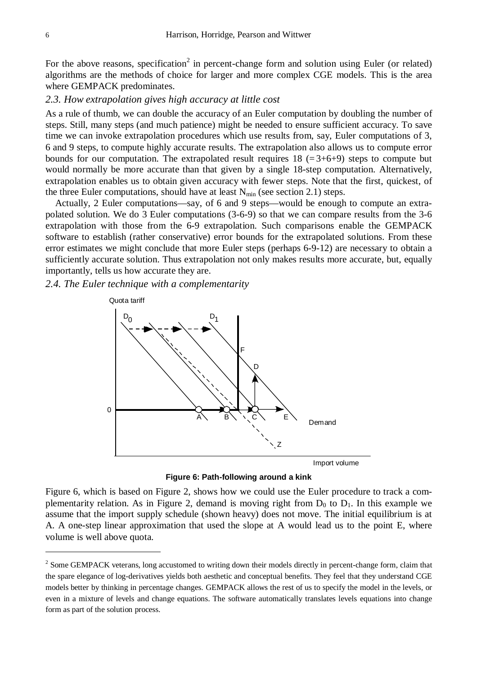For the above reasons, specification<sup>2</sup> in percent-change form and solution using Euler (or related) algorithms are the methods of choice for larger and more complex CGE models. This is the area where GEMPACK predominates.

#### *2.3. How extrapolation gives high accuracy at little cost*

As a rule of thumb, we can double the accuracy of an Euler computation by doubling the number of steps. Still, many steps (and much patience) might be needed to ensure sufficient accuracy. To save time we can invoke extrapolation procedures which use results from, say, Euler computations of 3, 6 and 9 steps, to compute highly accurate results. The extrapolation also allows us to compute error bounds for our computation. The extrapolated result requires  $18$  (=3+6+9) steps to compute but would normally be more accurate than that given by a single 18-step computation. Alternatively, extrapolation enables us to obtain given accuracy with fewer steps. Note that the first, quickest, of the three Euler computations, should have at least  $N_{\text{min}}$  (see section 2.1) steps.

 Actually, 2 Euler computations—say, of 6 and 9 steps—would be enough to compute an extrapolated solution. We do 3 Euler computations (3-6-9) so that we can compare results from the 3-6 extrapolation with those from the 6-9 extrapolation. Such comparisons enable the GEMPACK software to establish (rather conservative) error bounds for the extrapolated solutions. From these error estimates we might conclude that more Euler steps (perhaps 6-9-12) are necessary to obtain a sufficiently accurate solution. Thus extrapolation not only makes results more accurate, but, equally importantly, tells us how accurate they are.

*2.4. The Euler technique with a complementarity*

![](_page_8_Figure_6.jpeg)

**Figure 6: Path-following around a kink**

Figure 6, which is based on Figure 2, shows how we could use the Euler procedure to track a complementarity relation. As in Figure 2, demand is moving right from  $D_0$  to  $D_1$ . In this example we assume that the import supply schedule (shown heavy) does not move. The initial equilibrium is at A. A one-step linear approximation that used the slope at A would lead us to the point E, where volume is well above quota.

 $2^{2}$  Some GEMPACK veterans, long accustomed to writing down their models directly in percent-change form, claim that the spare elegance of log-derivatives yields both aesthetic and conceptual benefits. They feel that they understand CGE models better by thinking in percentage changes. GEMPACK allows the rest of us to specify the model in the levels, or even in a mixture of levels and change equations. The software automatically translates levels equations into change form as part of the solution process.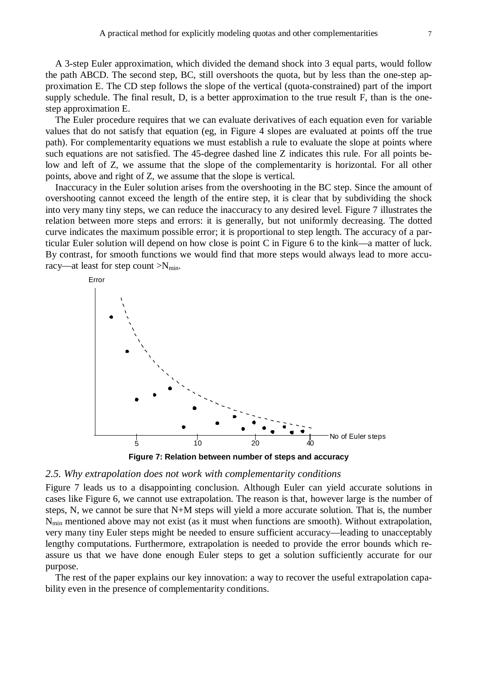A 3-step Euler approximation, which divided the demand shock into 3 equal parts, would follow the path ABCD. The second step, BC, still overshoots the quota, but by less than the one-step approximation E. The CD step follows the slope of the vertical (quota-constrained) part of the import supply schedule. The final result, D, is a better approximation to the true result F, than is the onestep approximation E.

 The Euler procedure requires that we can evaluate derivatives of each equation even for variable values that do not satisfy that equation (eg, in Figure 4 slopes are evaluated at points off the true path). For complementarity equations we must establish a rule to evaluate the slope at points where such equations are not satisfied. The 45-degree dashed line Z indicates this rule. For all points below and left of Z, we assume that the slope of the complementarity is horizontal. For all other points, above and right of Z, we assume that the slope is vertical.

 Inaccuracy in the Euler solution arises from the overshooting in the BC step. Since the amount of overshooting cannot exceed the length of the entire step, it is clear that by subdividing the shock into very many tiny steps, we can reduce the inaccuracy to any desired level. Figure 7 illustrates the relation between more steps and errors: it is generally, but not uniformly decreasing. The dotted curve indicates the maximum possible error; it is proportional to step length. The accuracy of a particular Euler solution will depend on how close is point C in Figure 6 to the kink—a matter of luck. By contrast, for smooth functions we would find that more steps would always lead to more accuracy—at least for step count  $>N_{\text{min}}$ .

![](_page_9_Figure_4.jpeg)

![](_page_9_Figure_5.jpeg)

#### *2.5. Why extrapolation does not work with complementarity conditions*

Figure 7 leads us to a disappointing conclusion. Although Euler can yield accurate solutions in cases like Figure 6, we cannot use extrapolation. The reason is that, however large is the number of steps, N, we cannot be sure that N+M steps will yield a more accurate solution. That is, the number  $N_{\text{min}}$  mentioned above may not exist (as it must when functions are smooth). Without extrapolation, very many tiny Euler steps might be needed to ensure sufficient accuracy—leading to unacceptably lengthy computations. Furthermore, extrapolation is needed to provide the error bounds which reassure us that we have done enough Euler steps to get a solution sufficiently accurate for our purpose.

 The rest of the paper explains our key innovation: a way to recover the useful extrapolation capability even in the presence of complementarity conditions.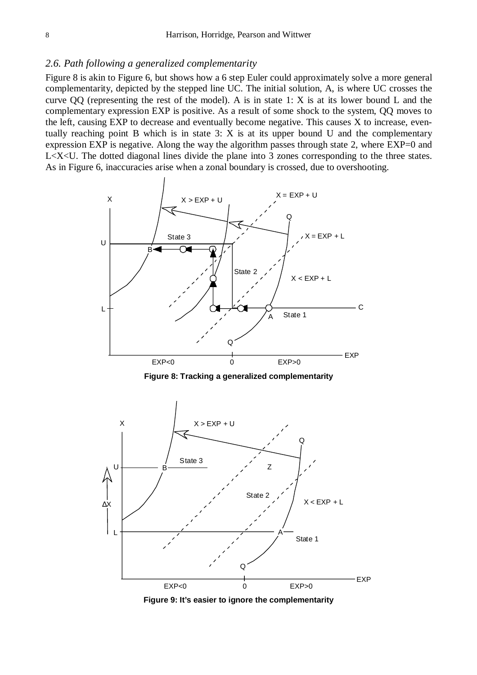#### *2.6. Path following a generalized complementarity*

Figure 8 is akin to Figure 6, but shows how a 6 step Euler could approximately solve a more general complementarity, depicted by the stepped line UC. The initial solution, A, is where UC crosses the curve QQ (representing the rest of the model). A is in state 1: X is at its lower bound L and the complementary expression EXP is positive. As a result of some shock to the system, QQ moves to the left, causing EXP to decrease and eventually become negative. This causes X to increase, eventually reaching point B which is in state 3: X is at its upper bound U and the complementary expression EXP is negative. Along the way the algorithm passes through state 2, where EXP=0 and L<X<U. The dotted diagonal lines divide the plane into 3 zones corresponding to the three states. As in Figure 6, inaccuracies arise when a zonal boundary is crossed, due to overshooting.

![](_page_10_Figure_3.jpeg)

**Figure 8: Tracking a generalized complementarity**

![](_page_10_Figure_5.jpeg)

**Figure 9: It's easier to ignore the complementarity**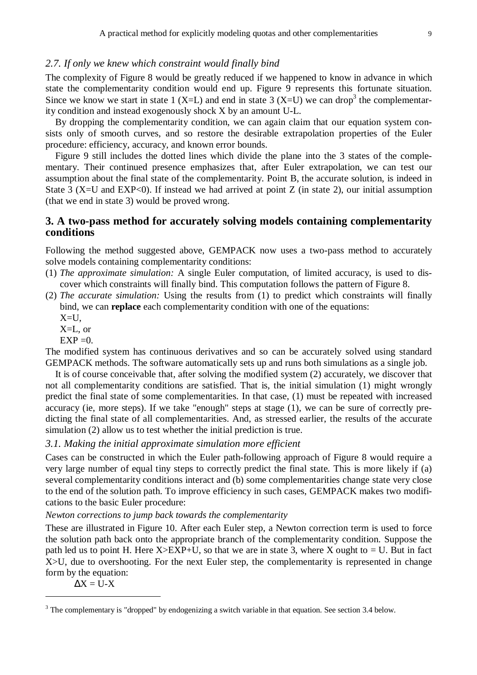#### *2.7. If only we knew which constraint would finally bind*

The complexity of Figure 8 would be greatly reduced if we happened to know in advance in which state the complementarity condition would end up. Figure 9 represents this fortunate situation. Since we know we start in state 1 (X=L) and end in state 3 (X=U) we can drop<sup>3</sup> the complementarity condition and instead exogenously shock X by an amount U-L.

 By dropping the complementarity condition, we can again claim that our equation system consists only of smooth curves, and so restore the desirable extrapolation properties of the Euler procedure: efficiency, accuracy, and known error bounds.

 Figure 9 still includes the dotted lines which divide the plane into the 3 states of the complementary. Their continued presence emphasizes that, after Euler extrapolation, we can test our assumption about the final state of the complementarity. Point B, the accurate solution, is indeed in State 3 (X=U and EXP<0). If instead we had arrived at point  $Z$  (in state 2), our initial assumption (that we end in state 3) would be proved wrong.

# **3. A two-pass method for accurately solving models containing complementarity conditions**

Following the method suggested above, GEMPACK now uses a two-pass method to accurately solve models containing complementarity conditions:

- (1) *The approximate simulation:* A single Euler computation, of limited accuracy, is used to discover which constraints will finally bind. This computation follows the pattern of Figure 8.
- (2) *The accurate simulation:* Using the results from (1) to predict which constraints will finally bind, we can **replace** each complementarity condition with one of the equations:
	- $X=U$ ,
	- X=L, or
	- $EXP = 0.$

The modified system has continuous derivatives and so can be accurately solved using standard GEMPACK methods. The software automatically sets up and runs both simulations as a single job.

 It is of course conceivable that, after solving the modified system (2) accurately, we discover that not all complementarity conditions are satisfied. That is, the initial simulation (1) might wrongly predict the final state of some complementarities. In that case, (1) must be repeated with increased accuracy (ie, more steps). If we take "enough" steps at stage (1), we can be sure of correctly predicting the final state of all complementarities. And, as stressed earlier, the results of the accurate simulation (2) allow us to test whether the initial prediction is true.

*3.1. Making the initial approximate simulation more efficient*

Cases can be constructed in which the Euler path-following approach of Figure 8 would require a very large number of equal tiny steps to correctly predict the final state. This is more likely if (a) several complementarity conditions interact and (b) some complementarities change state very close to the end of the solution path. To improve efficiency in such cases, GEMPACK makes two modifications to the basic Euler procedure:

*Newton corrections to jump back towards the complementarity*

These are illustrated in Figure 10. After each Euler step, a Newton correction term is used to force the solution path back onto the appropriate branch of the complementarity condition. Suppose the path led us to point H. Here  $X > EXP+U$ , so that we are in state 3, where X ought to = U. But in fact X>U, due to overshooting. For the next Euler step, the complementarity is represented in change form by the equation:

 $\Delta X = U - X$ 

 $3$  The complementary is "dropped" by endogenizing a switch variable in that equation. See section 3.4 below.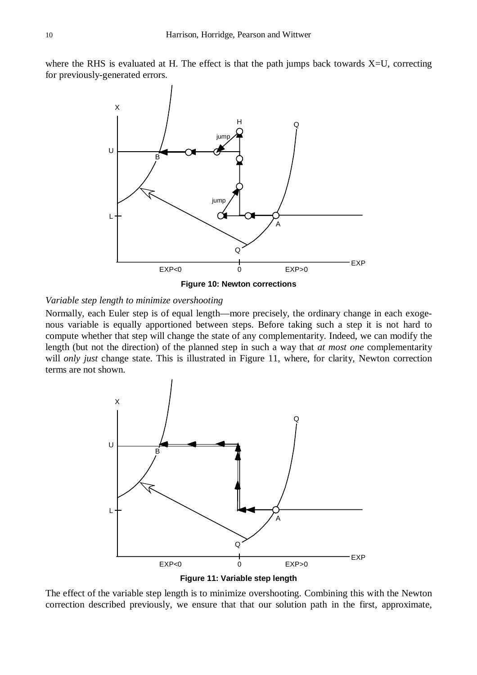where the RHS is evaluated at H. The effect is that the path jumps back towards  $X=U$ , correcting for previously-generated errors.

![](_page_12_Figure_2.jpeg)

**Figure 10: Newton corrections**

# *Variable step length to minimize overshooting*

Normally, each Euler step is of equal length—more precisely, the ordinary change in each exogenous variable is equally apportioned between steps. Before taking such a step it is not hard to compute whether that step will change the state of any complementarity. Indeed, we can modify the length (but not the direction) of the planned step in such a way that *at most one* complementarity will *only just* change state. This is illustrated in Figure 11, where, for clarity, Newton correction terms are not shown.

![](_page_12_Figure_6.jpeg)

**Figure 11: Variable step length**

The effect of the variable step length is to minimize overshooting. Combining this with the Newton correction described previously, we ensure that that our solution path in the first, approximate,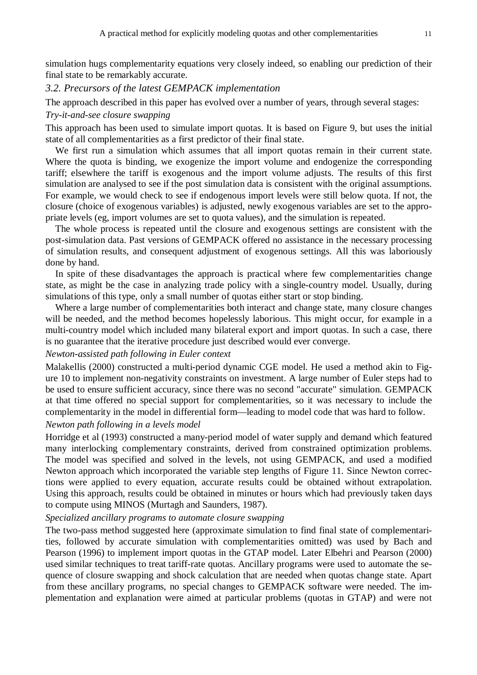simulation hugs complementarity equations very closely indeed, so enabling our prediction of their final state to be remarkably accurate.

# *3.2. Precursors of the latest GEMPACK implementation*

The approach described in this paper has evolved over a number of years, through several stages:

#### *Try-it-and-see closure swapping*

This approach has been used to simulate import quotas. It is based on Figure 9, but uses the initial state of all complementarities as a first predictor of their final state.

 We first run a simulation which assumes that all import quotas remain in their current state. Where the quota is binding, we exogenize the import volume and endogenize the corresponding tariff; elsewhere the tariff is exogenous and the import volume adjusts. The results of this first simulation are analysed to see if the post simulation data is consistent with the original assumptions. For example, we would check to see if endogenous import levels were still below quota. If not, the closure (choice of exogenous variables) is adjusted, newly exogenous variables are set to the appropriate levels (eg, import volumes are set to quota values), and the simulation is repeated.

 The whole process is repeated until the closure and exogenous settings are consistent with the post-simulation data. Past versions of GEMPACK offered no assistance in the necessary processing of simulation results, and consequent adjustment of exogenous settings. All this was laboriously done by hand.

 In spite of these disadvantages the approach is practical where few complementarities change state, as might be the case in analyzing trade policy with a single-country model. Usually, during simulations of this type, only a small number of quotas either start or stop binding.

 Where a large number of complementarities both interact and change state, many closure changes will be needed, and the method becomes hopelessly laborious. This might occur, for example in a multi-country model which included many bilateral export and import quotas. In such a case, there is no guarantee that the iterative procedure just described would ever converge.

#### *Newton-assisted path following in Euler context*

Malakellis (2000) constructed a multi-period dynamic CGE model. He used a method akin to Figure 10 to implement non-negativity constraints on investment. A large number of Euler steps had to be used to ensure sufficient accuracy, since there was no second "accurate" simulation. GEMPACK at that time offered no special support for complementarities, so it was necessary to include the complementarity in the model in differential form—leading to model code that was hard to follow.

# *Newton path following in a levels model*

Horridge et al (1993) constructed a many-period model of water supply and demand which featured many interlocking complementary constraints, derived from constrained optimization problems. The model was specified and solved in the levels, not using GEMPACK, and used a modified Newton approach which incorporated the variable step lengths of Figure 11. Since Newton corrections were applied to every equation, accurate results could be obtained without extrapolation. Using this approach, results could be obtained in minutes or hours which had previously taken days to compute using MINOS (Murtagh and Saunders, 1987).

#### *Specialized ancillary programs to automate closure swapping*

The two-pass method suggested here (approximate simulation to find final state of complementarities, followed by accurate simulation with complementarities omitted) was used by Bach and Pearson (1996) to implement import quotas in the GTAP model. Later Elbehri and Pearson (2000) used similar techniques to treat tariff-rate quotas. Ancillary programs were used to automate the sequence of closure swapping and shock calculation that are needed when quotas change state. Apart from these ancillary programs, no special changes to GEMPACK software were needed. The implementation and explanation were aimed at particular problems (quotas in GTAP) and were not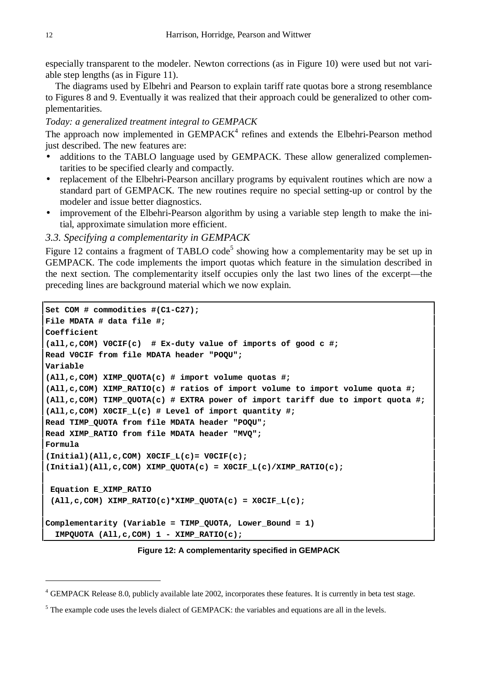especially transparent to the modeler. Newton corrections (as in Figure 10) were used but not variable step lengths (as in Figure 11).

 The diagrams used by Elbehri and Pearson to explain tariff rate quotas bore a strong resemblance to Figures 8 and 9. Eventually it was realized that their approach could be generalized to other complementarities.

#### *Today: a generalized treatment integral to GEMPACK*

The approach now implemented in  $GEMPACK<sup>4</sup>$  refines and extends the Elbehri-Pearson method just described. The new features are:

- additions to the TABLO language used by GEMPACK. These allow generalized complementarities to be specified clearly and compactly.
- replacement of the Elbehri-Pearson ancillary programs by equivalent routines which are now a standard part of GEMPACK. The new routines require no special setting-up or control by the modeler and issue better diagnostics.
- improvement of the Elbehri-Pearson algorithm by using a variable step length to make the initial, approximate simulation more efficient.

#### *3.3. Specifying a complementarity in GEMPACK*

Figure 12 contains a fragment of TABLO code<sup>5</sup> showing how a complementarity may be set up in GEMPACK. The code implements the import quotas which feature in the simulation described in the next section. The complementarity itself occupies only the last two lines of the excerpt—the preceding lines are background material which we now explain.

```
Set COM # commodities #(C1-C27);
File MDATA # data file #;
Coefficient
(all,c,COM) V0CIF(c) # Ex-duty value of imports of good c #;
Read V0CIF from file MDATA header "POQU";
Variable
(All,c,COM) XIMP_QUOTA(c) # import volume quotas #;
(All,c,COM) XIMP_RATIO(c) # ratios of import volume to import volume quota #;
(All,c,COM) TIMP_QUOTA(c) # EXTRA power of import tariff due to import quota #;
(All,c,COM) X0CIF_L(c) # Level of import quantity #;
Read TIMP_QUOTA from file MDATA header "POQU";
Read XIMP_RATIO from file MDATA header "MVQ";
Formula
(Initial)(All,c,COM) X0CIF_L(c)= V0CIF(c);
(Initial)(All,c,COM) XIMP_QUOTA(c) = X0CIF_L(c)/XIMP_RATIO(c);
 Equation E_XIMP_RATIO
  (All,c,COM) XIMP_RATIO(c)*XIMP_QUOTA(c) = X0CIF_L(c);
Complementarity (Variable = TIMP_QUOTA, Lower_Bound = 1)
   IMPQUOTA (All,c,COM) 1 - XIMP_RATIO(c);
```
#### **Figure 12: A complementarity specified in GEMPACK**

<sup>&</sup>lt;sup>4</sup> GEMPACK Release 8.0, publicly available late 2002, incorporates these features. It is currently in beta test stage.

 $<sup>5</sup>$  The example code uses the levels dialect of GEMPACK: the variables and equations are all in the levels.</sup>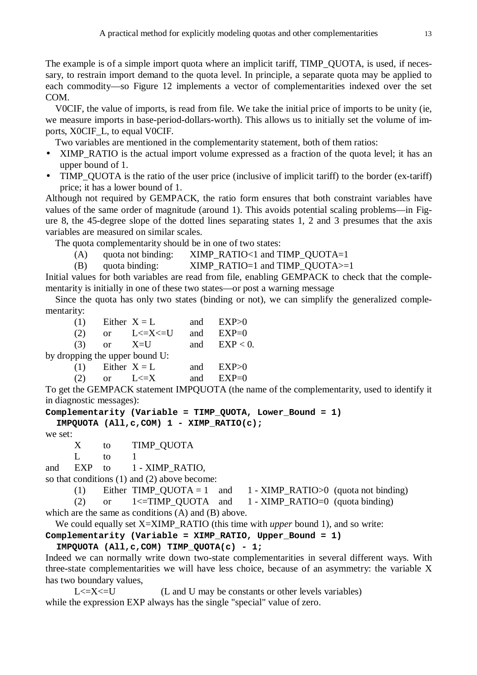The example is of a simple import quota where an implicit tariff, TIMP\_QUOTA, is used, if necessary, to restrain import demand to the quota level. In principle, a separate quota may be applied to each commodity—so Figure 12 implements a vector of complementarities indexed over the set COM.

 V0CIF, the value of imports, is read from file. We take the initial price of imports to be unity (ie, we measure imports in base-period-dollars-worth). This allows us to initially set the volume of imports, X0CIF\_L, to equal V0CIF.

Two variables are mentioned in the complementarity statement, both of them ratios:

- XIMP\_RATIO is the actual import volume expressed as a fraction of the quota level; it has an upper bound of 1.
- TIMP\_QUOTA is the ratio of the user price (inclusive of implicit tariff) to the border (ex-tariff) price; it has a lower bound of 1.

Although not required by GEMPACK, the ratio form ensures that both constraint variables have values of the same order of magnitude (around 1). This avoids potential scaling problems—in Figure 8, the 45-degree slope of the dotted lines separating states 1, 2 and 3 presumes that the axis variables are measured on similar scales.

The quota complementarity should be in one of two states:

- (A) quota not binding: XIMP\_RATIO<1 and TIMP\_OUOTA=1
- (B) quota binding:  $XIMP \ RATIO=1$  and TIMP  $QUOTA>=1$

Initial values for both variables are read from file, enabling GEMPACK to check that the complementarity is initially in one of these two states—or post a warning message

 Since the quota has only two states (binding or not), we can simplify the generalized complementarity:

|                                |  | (1) Either $X = L$ |     | and $EXP>0$     |  |  |
|--------------------------------|--|--------------------|-----|-----------------|--|--|
| (2)                            |  | or $L < = X < = U$ |     | and $EXP=0$     |  |  |
|                                |  | $(3)$ or $X=U$     |     | and $EXP < 0$ . |  |  |
| by dropping the upper bound U: |  |                    |     |                 |  |  |
|                                |  | (1) Either $X = L$ | and | EXP>0           |  |  |

| (2) | $L < = X$ | and $EXP=0$ |
|-----|-----------|-------------|

To get the GEMPACK statement IMPQUOTA (the name of the complementarity, used to identify it in diagnostic messages):

```
Complementarity (Variable = TIMP_QUOTA, Lower_Bound = 1)
```

```
 IMPQUOTA (All,c,COM) 1 - XIMP_RATIO(c);
```
we set:

X to TIMP\_QUOTA

L to  $1$ 

and EXP to 1 - XIMP RATIO,

so that conditions (1) and (2) above become:

(1) Either TIMP\_QUOTA = 1 and 1 - XIMP\_RATIO>0 (quota not binding) (2) or  $1 \leq TIMP \_QUOTA$  and  $1 - XIMP \_RATIO = 0$  (quota binding)

which are the same as conditions (A) and (B) above.

We could equally set X=XIMP\_RATIO (this time with *upper* bound 1), and so write:

```
Complementarity (Variable = XIMP_RATIO, Upper_Bound = 1)
```
 **IMPQUOTA (All,c,COM) TIMP\_QUOTA(c) - 1;**

Indeed we can normally write down two-state complementarities in several different ways. With three-state complementarities we will have less choice, because of an asymmetry: the variable X has two boundary values,

 $L \le X \le U$  (L and U may be constants or other levels variables) while the expression EXP always has the single "special" value of zero.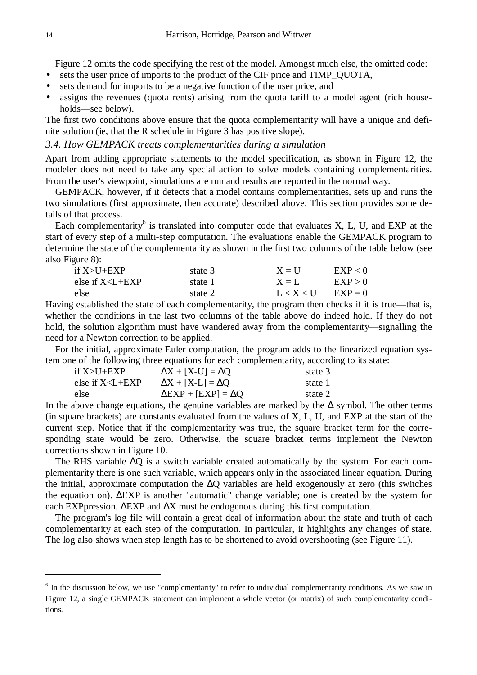Figure 12 omits the code specifying the rest of the model. Amongst much else, the omitted code:

- sets the user price of imports to the product of the CIF price and TIMP\_QUOTA,
- sets demand for imports to be a negative function of the user price, and
- assigns the revenues (quota rents) arising from the quota tariff to a model agent (rich households—see below).

The first two conditions above ensure that the quota complementarity will have a unique and definite solution (ie, that the R schedule in Figure 3 has positive slope).

# *3.4. How GEMPACK treats complementarities during a simulation*

Apart from adding appropriate statements to the model specification, as shown in Figure 12, the modeler does not need to take any special action to solve models containing complementarities. From the user's viewpoint, simulations are run and results are reported in the normal way.

 GEMPACK, however, if it detects that a model contains complementarities, sets up and runs the two simulations (first approximate, then accurate) described above. This section provides some details of that process.

Each complementarity<sup>6</sup> is translated into computer code that evaluates  $X$ ,  $L$ ,  $U$ , and EXP at the start of every step of a multi-step computation. The evaluations enable the GEMPACK program to determine the state of the complementarity as shown in the first two columns of the table below (see also Figure 8):

| if $X > U + EXP$      | state 3 | $X = U$   | EXP < 0   |
|-----------------------|---------|-----------|-----------|
| else if $X < L + EXP$ | state 1 | $X = L$   | EXP > 0   |
| else                  | state 2 | L < X < U | $EXP = 0$ |

Having established the state of each complementarity, the program then checks if it is true—that is, whether the conditions in the last two columns of the table above do indeed hold. If they do not hold, the solution algorithm must have wandered away from the complementarity—signalling the need for a Newton correction to be applied.

 For the initial, approximate Euler computation, the program adds to the linearized equation system one of the following three equations for each complementarity, according to its state:

| if $X > U + EXP$      | $\Delta X + [X-U] = \Delta Q$   | state 3 |
|-----------------------|---------------------------------|---------|
| else if $X < L + EXP$ | $\Delta X + [X-L] = \Delta Q$   | state 1 |
| else                  | $\Delta EXP + [EXP] = \Delta Q$ | state 2 |

In the above change equations, the genuine variables are marked by the  $\Delta$  symbol. The other terms (in square brackets) are constants evaluated from the values of X, L, U, and EXP at the start of the current step. Notice that if the complementarity was true, the square bracket term for the corresponding state would be zero. Otherwise, the square bracket terms implement the Newton corrections shown in Figure 10.

The RHS variable ∆O is a switch variable created automatically by the system. For each complementarity there is one such variable, which appears only in the associated linear equation. During the initial, approximate computation the ∆Q variables are held exogenously at zero (this switches the equation on). ∆EXP is another "automatic" change variable; one is created by the system for each EXPpression. ∆EXP and ∆X must be endogenous during this first computation.

 The program's log file will contain a great deal of information about the state and truth of each complementarity at each step of the computation. In particular, it highlights any changes of state. The log also shows when step length has to be shortened to avoid overshooting (see Figure 11).

<sup>&</sup>lt;sup>6</sup> In the discussion below, we use "complementarity" to refer to individual complementarity conditions. As we saw in Figure 12, a single GEMPACK statement can implement a whole vector (or matrix) of such complementarity conditions.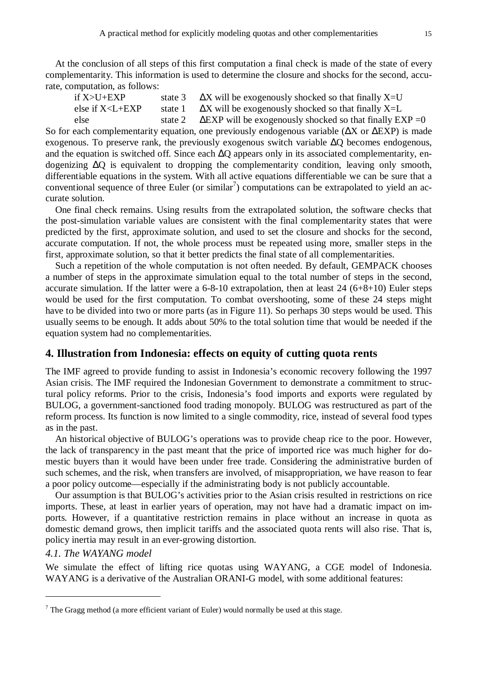At the conclusion of all steps of this first computation a final check is made of the state of every complementarity. This information is used to determine the closure and shocks for the second, accurate, computation, as follows:

| if $X > U + EXP$      | state 3 | $\Delta X$ will be exogenously shocked so that finally X=U       |
|-----------------------|---------|------------------------------------------------------------------|
| else if $X < L + EXP$ | state 1 | $\Delta X$ will be exogenously shocked so that finally X=L       |
| else                  | state 2 | $\Delta$ EXP will be exogenously shocked so that finally EXP = 0 |

So for each complementarity equation, one previously endogenous variable (ΔX or ΔEXP) is made exogenous. To preserve rank, the previously exogenous switch variable ∆Q becomes endogenous, and the equation is switched off. Since each ∆Q appears only in its associated complementarity, endogenizing ∆Q is equivalent to dropping the complementarity condition, leaving only smooth, differentiable equations in the system. With all active equations differentiable we can be sure that a conventional sequence of three Euler (or similar<sup>7</sup>) computations can be extrapolated to yield an accurate solution.

 One final check remains. Using results from the extrapolated solution, the software checks that the post-simulation variable values are consistent with the final complementarity states that were predicted by the first, approximate solution, and used to set the closure and shocks for the second, accurate computation. If not, the whole process must be repeated using more, smaller steps in the first, approximate solution, so that it better predicts the final state of all complementarities.

 Such a repetition of the whole computation is not often needed. By default, GEMPACK chooses a number of steps in the approximate simulation equal to the total number of steps in the second, accurate simulation. If the latter were a 6-8-10 extrapolation, then at least 24 (6+8+10) Euler steps would be used for the first computation. To combat overshooting, some of these 24 steps might have to be divided into two or more parts (as in Figure 11). So perhaps 30 steps would be used. This usually seems to be enough. It adds about 50% to the total solution time that would be needed if the equation system had no complementarities.

## **4. Illustration from Indonesia: effects on equity of cutting quota rents**

The IMF agreed to provide funding to assist in Indonesia's economic recovery following the 1997 Asian crisis. The IMF required the Indonesian Government to demonstrate a commitment to structural policy reforms. Prior to the crisis, Indonesia's food imports and exports were regulated by BULOG, a government-sanctioned food trading monopoly. BULOG was restructured as part of the reform process. Its function is now limited to a single commodity, rice, instead of several food types as in the past.

 An historical objective of BULOG's operations was to provide cheap rice to the poor. However, the lack of transparency in the past meant that the price of imported rice was much higher for domestic buyers than it would have been under free trade. Considering the administrative burden of such schemes, and the risk, when transfers are involved, of misappropriation, we have reason to fear a poor policy outcome—especially if the administrating body is not publicly accountable.

 Our assumption is that BULOG's activities prior to the Asian crisis resulted in restrictions on rice imports. These, at least in earlier years of operation, may not have had a dramatic impact on imports. However, if a quantitative restriction remains in place without an increase in quota as domestic demand grows, then implicit tariffs and the associated quota rents will also rise. That is, policy inertia may result in an ever-growing distortion.

#### *4.1. The WAYANG model*

 $\overline{a}$ 

We simulate the effect of lifting rice quotas using WAYANG, a CGE model of Indonesia. WAYANG is a derivative of the Australian ORANI-G model, with some additional features:

 $7$  The Gragg method (a more efficient variant of Euler) would normally be used at this stage.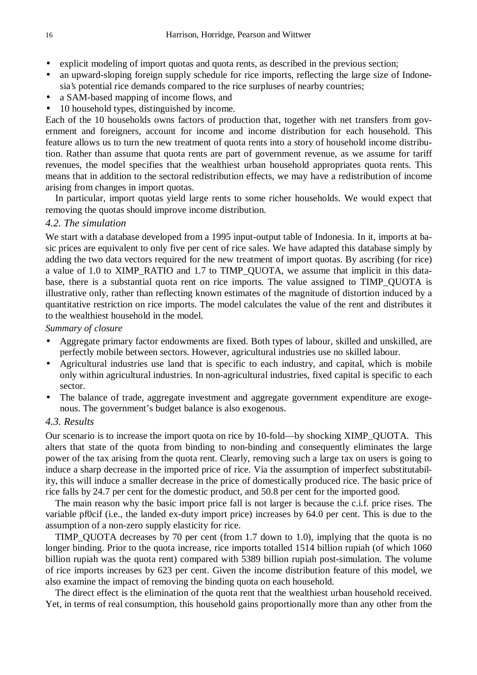- explicit modeling of import quotas and quota rents, as described in the previous section;
- an upward-sloping foreign supply schedule for rice imports, reflecting the large size of Indonesia's potential rice demands compared to the rice surpluses of nearby countries;
- a SAM-based mapping of income flows, and
- 10 household types, distinguished by income.

Each of the 10 households owns factors of production that, together with net transfers from government and foreigners, account for income and income distribution for each household. This feature allows us to turn the new treatment of quota rents into a story of household income distribution. Rather than assume that quota rents are part of government revenue, as we assume for tariff revenues, the model specifies that the wealthiest urban household appropriates quota rents. This means that in addition to the sectoral redistribution effects, we may have a redistribution of income arising from changes in import quotas.

 In particular, import quotas yield large rents to some richer households. We would expect that removing the quotas should improve income distribution.

# *4.2. The simulation*

We start with a database developed from a 1995 input-output table of Indonesia. In it, imports at basic prices are equivalent to only five per cent of rice sales. We have adapted this database simply by adding the two data vectors required for the new treatment of import quotas. By ascribing (for rice) a value of 1.0 to XIMP\_RATIO and 1.7 to TIMP\_QUOTA, we assume that implicit in this database, there is a substantial quota rent on rice imports. The value assigned to TIMP\_QUOTA is illustrative only, rather than reflecting known estimates of the magnitude of distortion induced by a quantitative restriction on rice imports. The model calculates the value of the rent and distributes it to the wealthiest household in the model.

*Summary of closure*

- Aggregate primary factor endowments are fixed. Both types of labour, skilled and unskilled, are perfectly mobile between sectors. However, agricultural industries use no skilled labour.
- Agricultural industries use land that is specific to each industry, and capital, which is mobile only within agricultural industries. In non-agricultural industries, fixed capital is specific to each sector.
- The balance of trade, aggregate investment and aggregate government expenditure are exogenous. The government's budget balance is also exogenous.

# *4.3. Results*

Our scenario is to increase the import quota on rice by 10-fold—by shocking XIMP\_QUOTA. This alters that state of the quota from binding to non-binding and consequently eliminates the large power of the tax arising from the quota rent. Clearly, removing such a large tax on users is going to induce a sharp decrease in the imported price of rice. Via the assumption of imperfect substitutability, this will induce a smaller decrease in the price of domestically produced rice. The basic price of rice falls by 24.7 per cent for the domestic product, and 50.8 per cent for the imported good.

 The main reason why the basic import price fall is not larger is because the c.i.f. price rises. The variable pf0cif (i.e., the landed ex-duty import price) increases by 64.0 per cent. This is due to the assumption of a non-zero supply elasticity for rice.

 TIMP\_QUOTA decreases by 70 per cent (from 1.7 down to 1.0), implying that the quota is no longer binding. Prior to the quota increase, rice imports totalled 1514 billion rupiah (of which 1060 billion rupiah was the quota rent) compared with 5389 billion rupiah post-simulation. The volume of rice imports increases by 623 per cent. Given the income distribution feature of this model, we also examine the impact of removing the binding quota on each household.

 The direct effect is the elimination of the quota rent that the wealthiest urban household received. Yet, in terms of real consumption, this household gains proportionally more than any other from the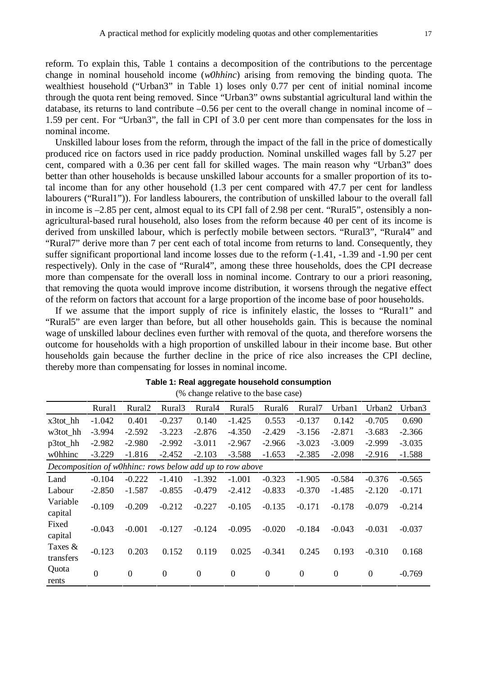reform. To explain this, Table 1 contains a decomposition of the contributions to the percentage change in nominal household income (*w0hhinc*) arising from removing the binding quota. The wealthiest household ("Urban3" in Table 1) loses only 0.77 per cent of initial nominal income through the quota rent being removed. Since "Urban3" owns substantial agricultural land within the database, its returns to land contribute  $-0.56$  per cent to the overall change in nominal income of  $-$ 1.59 per cent. For "Urban3", the fall in CPI of 3.0 per cent more than compensates for the loss in nominal income.

 Unskilled labour loses from the reform, through the impact of the fall in the price of domestically produced rice on factors used in rice paddy production. Nominal unskilled wages fall by 5.27 per cent, compared with a 0.36 per cent fall for skilled wages. The main reason why "Urban3" does better than other households is because unskilled labour accounts for a smaller proportion of its total income than for any other household (1.3 per cent compared with 47.7 per cent for landless labourers ("Rural1")). For landless labourers, the contribution of unskilled labour to the overall fall in income is –2.85 per cent, almost equal to its CPI fall of 2.98 per cent. "Rural5", ostensibly a nonagricultural-based rural household, also loses from the reform because 40 per cent of its income is derived from unskilled labour, which is perfectly mobile between sectors. "Rural3", "Rural4" and "Rural7" derive more than 7 per cent each of total income from returns to land. Consequently, they suffer significant proportional land income losses due to the reform (-1.41, -1.39 and -1.90 per cent respectively). Only in the case of "Rural4", among these three households, does the CPI decrease more than compensate for the overall loss in nominal income. Contrary to our a priori reasoning, that removing the quota would improve income distribution, it worsens through the negative effect of the reform on factors that account for a large proportion of the income base of poor households.

 If we assume that the import supply of rice is infinitely elastic, the losses to "Rural1" and "Rural5" are even larger than before, but all other households gain. This is because the nominal wage of unskilled labour declines even further with removal of the quota, and therefore worsens the outcome for households with a high proportion of unskilled labour in their income base. But other households gain because the further decline in the price of rice also increases the CPI decline, thereby more than compensating for losses in nominal income.

|                                                          |                |                    |                | (70 Change Felative to the base case) |                    |                |                    |                  |                |          |
|----------------------------------------------------------|----------------|--------------------|----------------|---------------------------------------|--------------------|----------------|--------------------|------------------|----------------|----------|
|                                                          | Rural1         | Rural <sub>2</sub> | Rural3         | Rural4                                | Rural <sub>5</sub> | Rural6         | Rural <sub>7</sub> | Urban1           | Urban2         | Urban3   |
| x3tot_hh                                                 | $-1.042$       | 0.401              | $-0.237$       | 0.140                                 | $-1.425$           | 0.553          | $-0.137$           | 0.142            | $-0.705$       | 0.690    |
| w3tot hh                                                 | $-3.994$       | $-2.592$           | $-3.223$       | $-2.876$                              | $-4.350$           | $-2.429$       | $-3.156$           | $-2.871$         | $-3.683$       | $-2.366$ |
| $p3$ tot_hh                                              | $-2.982$       | $-2.980$           | $-2.992$       | $-3.011$                              | $-2.967$           | $-2.966$       | $-3.023$           | $-3.009$         | $-2.999$       | $-3.035$ |
| w0hhinc                                                  | $-3.229$       | $-1.816$           | $-2.452$       | $-2.103$                              | $-3.588$           | $-1.653$       | $-2.385$           | $-2.098$         | $-2.916$       | $-1.588$ |
| Decomposition of w0hhinc: rows below add up to row above |                |                    |                |                                       |                    |                |                    |                  |                |          |
| Land                                                     | $-0.104$       | $-0.222$           | $-1.410$       | $-1.392$                              | $-1.001$           | $-0.323$       | $-1.905$           | $-0.584$         | $-0.376$       | $-0.565$ |
| Labour                                                   | $-2.850$       | $-1.587$           | $-0.855$       | $-0.479$                              | $-2.412$           | $-0.833$       | $-0.370$           | $-1.485$         | $-2.120$       | $-0.171$ |
| Variable<br>capital                                      | $-0.109$       | $-0.209$           | $-0.212$       | $-0.227$                              | $-0.105$           | $-0.135$       | $-0.171$           | $-0.178$         | $-0.079$       | $-0.214$ |
| Fixed<br>capital                                         | $-0.043$       | $-0.001$           | $-0.127$       | $-0.124$                              | $-0.095$           | $-0.020$       | $-0.184$           | $-0.043$         | $-0.031$       | $-0.037$ |
| Taxes $\&$<br>transfers                                  | $-0.123$       | 0.203              | 0.152          | 0.119                                 | 0.025              | $-0.341$       | 0.245              | 0.193            | $-0.310$       | 0.168    |
| Quota<br>rents                                           | $\overline{0}$ | $\theta$           | $\overline{0}$ | $\boldsymbol{0}$                      | $\boldsymbol{0}$   | $\overline{0}$ | $\boldsymbol{0}$   | $\boldsymbol{0}$ | $\overline{0}$ | $-0.769$ |

| Table 1: Real aggregate household consumption |
|-----------------------------------------------|
| (% change relative to the base case)          |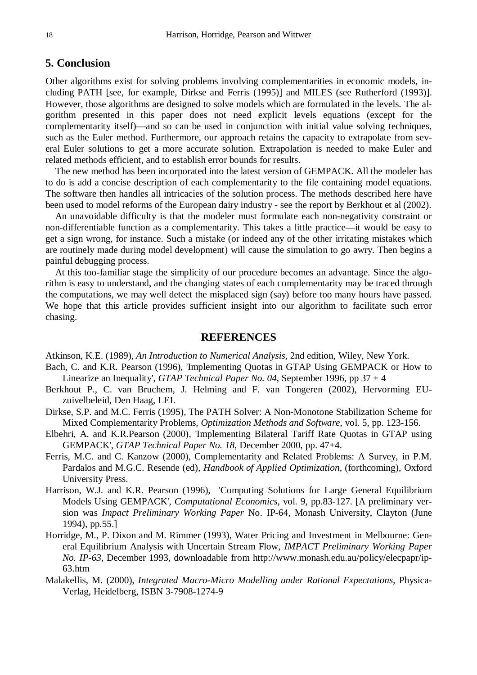# **5. Conclusion**

Other algorithms exist for solving problems involving complementarities in economic models, including PATH [see, for example, Dirkse and Ferris (1995)] and MILES (see Rutherford (1993)]. However, those algorithms are designed to solve models which are formulated in the levels. The algorithm presented in this paper does not need explicit levels equations (except for the complementarity itself)—and so can be used in conjunction with initial value solving techniques, such as the Euler method. Furthermore, our approach retains the capacity to extrapolate from several Euler solutions to get a more accurate solution. Extrapolation is needed to make Euler and related methods efficient, and to establish error bounds for results.

 The new method has been incorporated into the latest version of GEMPACK. All the modeler has to do is add a concise description of each complementarity to the file containing model equations. The software then handles all intricacies of the solution process. The methods described here have been used to model reforms of the European dairy industry - see the report by Berkhout et al (2002).

 An unavoidable difficulty is that the modeler must formulate each non-negativity constraint or non-differentiable function as a complementarity. This takes a little practice—it would be easy to get a sign wrong, for instance. Such a mistake (or indeed any of the other irritating mistakes which are routinely made during model development) will cause the simulation to go awry. Then begins a painful debugging process.

 At this too-familiar stage the simplicity of our procedure becomes an advantage. Since the algorithm is easy to understand, and the changing states of each complementarity may be traced through the computations, we may well detect the misplaced sign (say) before too many hours have passed. We hope that this article provides sufficient insight into our algorithm to facilitate such error chasing.

#### **REFERENCES**

Atkinson, K.E. (1989), *An Introduction to Numerical Analysis*, 2nd edition, Wiley, New York.

- Bach, C. and K.R. Pearson (1996), 'Implementing Quotas in GTAP Using GEMPACK or How to Linearize an Inequality', *GTAP Technical Paper No. 04*, September 1996, pp 37 + 4
- Berkhout P., C. van Bruchem, J. Helming and F. van Tongeren (2002), Hervorming EUzuivelbeleid, Den Haag, LEI.
- Dirkse, S.P. and M.C. Ferris (1995), The PATH Solver: A Non-Monotone Stabilization Scheme for Mixed Complementarity Problems, *Optimization Methods and Software*, vol. 5, pp. 123-156.
- Elbehri, A. and K.R.Pearson (2000), 'Implementing Bilateral Tariff Rate Quotas in GTAP using GEMPACK', *GTAP Technical Paper No. 18*, December 2000, pp. 47+4.
- Ferris, M.C. and C. Kanzow (2000), Complementarity and Related Problems: A Survey, in P.M. Pardalos and M.G.C. Resende (ed), *Handbook of Applied Optimization*, (forthcoming), Oxford University Press.
- Harrison, W.J. and K.R. Pearson (1996), 'Computing Solutions for Large General Equilibrium Models Using GEMPACK', *Computational Economics*, vol. 9, pp.83-127. [A preliminary version was *Impact Preliminary Working Paper* No. IP-64, Monash University, Clayton (June 1994), pp.55.]
- Horridge, M., P. Dixon and M. Rimmer (1993), Water Pricing and Investment in Melbourne: General Equilibrium Analysis with Uncertain Stream Flow, *IMPACT Preliminary Working Paper No. IP-63,* December 1993, downloadable from http://www.monash.edu.au/policy/elecpapr/ip-63.htm
- Malakellis, M. (2000), *Integrated Macro-Micro Modelling under Rational Expectations*, Physica-Verlag, Heidelberg, ISBN 3-7908-1274-9